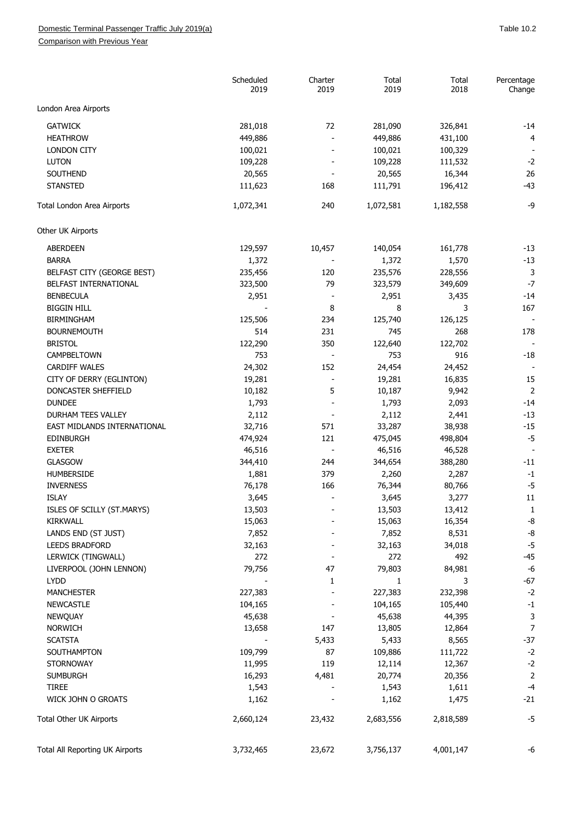## Domestic Terminal Passenger Traffic July 2019(a) and the control of the control of the control of the control of the 10.2

Comparison with Previous Year

|                                 | Scheduled<br>2019 | Charter<br>2019          | Total<br>2019 | Total<br>2018 | Percentage<br>Change |
|---------------------------------|-------------------|--------------------------|---------------|---------------|----------------------|
| London Area Airports            |                   |                          |               |               |                      |
| <b>GATWICK</b>                  | 281,018           | 72                       | 281,090       | 326,841       | $-14$                |
| <b>HEATHROW</b>                 | 449,886           |                          | 449,886       | 431,100       | $\overline{4}$       |
| <b>LONDON CITY</b>              | 100,021           |                          | 100,021       | 100,329       |                      |
| LUTON                           | 109,228           |                          | 109,228       | 111,532       | $-2$                 |
| SOUTHEND                        | 20,565            |                          | 20,565        | 16,344        | 26                   |
| <b>STANSTED</b>                 | 111,623           | 168                      | 111,791       | 196,412       | $-43$                |
| Total London Area Airports      | 1,072,341         | 240                      | 1,072,581     | 1,182,558     | -9                   |
| Other UK Airports               |                   |                          |               |               |                      |
|                                 |                   |                          |               |               |                      |
| <b>ABERDEEN</b>                 | 129,597           | 10,457                   | 140,054       | 161,778       | $-13$                |
| <b>BARRA</b>                    | 1,372             |                          | 1,372         | 1,570         | $-13$                |
| BELFAST CITY (GEORGE BEST)      | 235,456           | 120                      | 235,576       | 228,556       | 3                    |
| BELFAST INTERNATIONAL           | 323,500           | 79                       | 323,579       | 349,609       | $-7$                 |
| <b>BENBECULA</b>                | 2,951             |                          | 2,951         | 3,435         | $-14$                |
| <b>BIGGIN HILL</b>              |                   | 8                        | 8             | 3             | 167                  |
| <b>BIRMINGHAM</b>               | 125,506           | 234                      | 125,740       | 126,125       |                      |
| <b>BOURNEMOUTH</b>              | 514               | 231                      | 745           | 268           | 178                  |
| <b>BRISTOL</b>                  | 122,290           | 350                      | 122,640       | 122,702       |                      |
| CAMPBELTOWN                     | 753               | $\sim$                   | 753           | 916           | $-18$                |
| <b>CARDIFF WALES</b>            | 24,302            | 152                      | 24,454        | 24,452        |                      |
| CITY OF DERRY (EGLINTON)        | 19,281            |                          | 19,281        | 16,835        | 15                   |
| DONCASTER SHEFFIELD             | 10,182            | 5                        | 10,187        | 9,942         | $\overline{2}$       |
| <b>DUNDEE</b>                   | 1,793             | $\overline{\phantom{a}}$ | 1,793         | 2,093         | $-14$                |
| DURHAM TEES VALLEY              | 2,112             |                          | 2,112         | 2,441         | $-13$                |
| EAST MIDLANDS INTERNATIONAL     | 32,716            | 571                      | 33,287        | 38,938        | $-15$                |
| <b>EDINBURGH</b>                | 474,924           | 121                      | 475,045       | 498,804       | $-5$                 |
| <b>EXETER</b>                   | 46,516            |                          | 46,516        | 46,528        |                      |
| <b>GLASGOW</b>                  | 344,410           | 244                      | 344,654       | 388,280       | -11                  |
| HUMBERSIDE                      | 1,881             | 379                      | 2,260         | 2,287         | $-1$                 |
| <b>INVERNESS</b>                | 76,178            | 166                      | 76,344        | 80,766        | $-5$                 |
| <b>ISLAY</b>                    | 3,645             |                          | 3,645         | 3,277         | 11                   |
| ISLES OF SCILLY (ST.MARYS)      | 13,503            |                          | 13,503        | 13,412        | $\mathbf{1}$         |
| KIRKWALL                        | 15,063            |                          | 15,063        | 16,354        | $-8$                 |
| LANDS END (ST JUST)             | 7,852             |                          | 7,852         | 8,531         | -8                   |
| <b>LEEDS BRADFORD</b>           | 32,163            |                          | 32,163        | 34,018        | $-5$                 |
| LERWICK (TINGWALL)              | 272               |                          | 272           | 492           | $-45$                |
| LIVERPOOL (JOHN LENNON)         | 79,756            | 47                       | 79,803        | 84,981        | $-6$                 |
| <b>LYDD</b>                     |                   | 1                        | 1             | 3             | $-67$                |
| <b>MANCHESTER</b>               | 227,383           |                          | 227,383       | 232,398       | $-2$                 |
| <b>NEWCASTLE</b>                | 104,165           |                          | 104,165       | 105,440       | $-1$                 |
| <b>NEWQUAY</b>                  | 45,638            |                          | 45,638        | 44,395        | $\mathsf 3$          |
| <b>NORWICH</b>                  | 13,658            | 147                      | 13,805        | 12,864        | $\overline{7}$       |
| <b>SCATSTA</b>                  |                   | 5,433                    | 5,433         | 8,565         | $-37$                |
| SOUTHAMPTON                     | 109,799           | 87                       | 109,886       | 111,722       | $-2$                 |
| <b>STORNOWAY</b>                | 11,995            | 119                      | 12,114        | 12,367        | $-2$                 |
| <b>SUMBURGH</b>                 | 16,293            | 4,481                    | 20,774        | 20,356        | $\overline{2}$       |
| <b>TIREE</b>                    | 1,543             |                          | 1,543         | 1,611         | $-4$                 |
| WICK JOHN O GROATS              | 1,162             |                          | 1,162         | 1,475         | $-21$                |
| Total Other UK Airports         | 2,660,124         | 23,432                   | 2,683,556     | 2,818,589     | $-5$                 |
| Total All Reporting UK Airports | 3,732,465         | 23,672                   | 3,756,137     | 4,001,147     | -6                   |